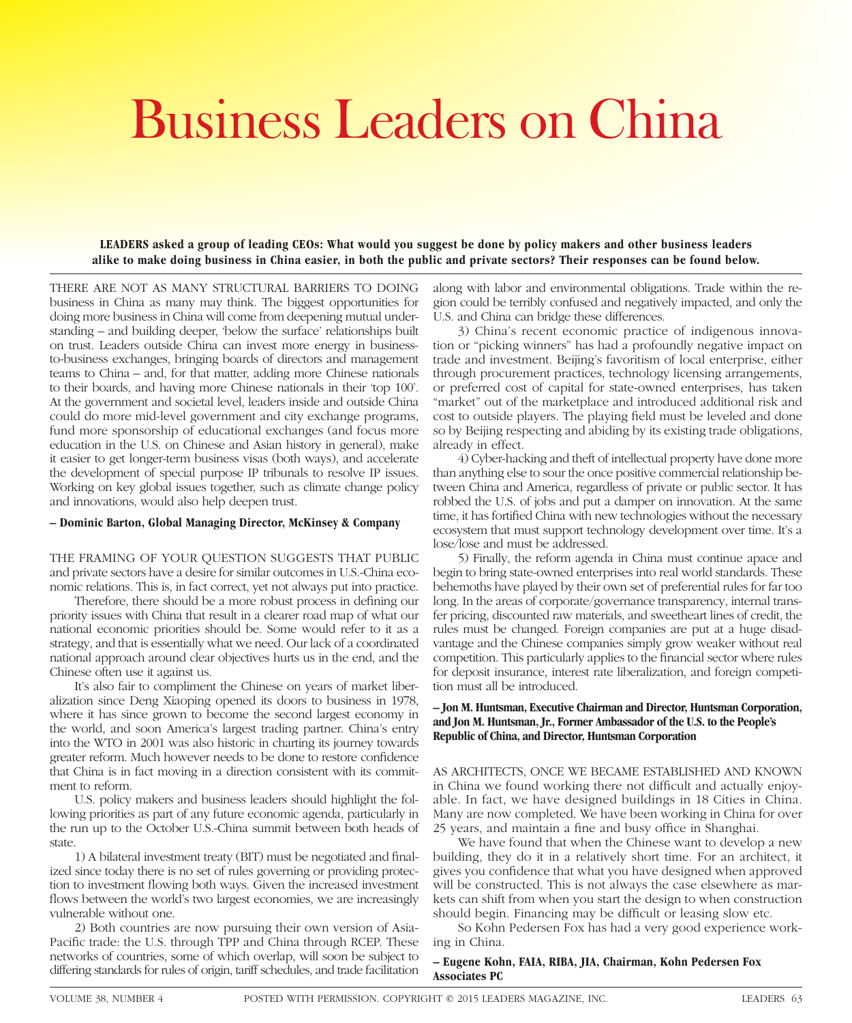# Business Leaders on China

**LEADERS asked a group of leading CEOs: What would you suggest be done by policy makers and other business leaders alike to make doing business in China easier, in both the public and private sectors? Their responses can be found below.**

THERE ARE NOT AS MANY STRUCTURAL BARRIERS TO DOING business in China as many may think. The biggest opportunities for doing more business in China will come from deepening mutual understanding – and building deeper, 'below the surface' relationships built on trust. Leaders outside China can invest more energy in businessto-business exchanges, bringing boards of directors and management teams to China – and, for that matter, adding more Chinese nationals to their boards, and having more Chinese nationals in their 'top 100'. At the government and societal level, leaders inside and outside China could do more mid-level government and city exchange programs, fund more sponsorship of educational exchanges (and focus more education in the U.S. on Chinese and Asian history in general), make it easier to get longer-term business visas (both ways), and accelerate the development of special purpose IP tribunals to resolve IP issues. Working on key global issues together, such as climate change policy and innovations, would also help deepen trust.

## **– Dominic Barton, Global Managing Director, McKinsey & Company**

THE FRAMING OF YOUR QUESTION SUGGESTS THAT PUBLIC and private sectors have a desire for similar outcomes in U.S.-China economic relations. This is, in fact correct, yet not always put into practice.

Therefore, there should be a more robust process in defining our priority issues with China that result in a clearer road map of what our national economic priorities should be. Some would refer to it as a strategy, and that is essentially what we need. Our lack of a coordinated national approach around clear objectives hurts us in the end, and the Chinese often use it against us.

It's also fair to compliment the Chinese on years of market liberalization since Deng Xiaoping opened its doors to business in 1978, where it has since grown to become the second largest economy in the world, and soon America's largest trading partner. China's entry into the WTO in 2001 was also historic in charting its journey towards greater reform. Much however needs to be done to restore confidence that China is in fact moving in a direction consistent with its commitment to reform.

U.S. policy makers and business leaders should highlight the following priorities as part of any future economic agenda, particularly in the run up to the October U.S.-China summit between both heads of state.

1) A bilateral investment treaty (BIT) must be negotiated and finalized since today there is no set of rules governing or providing protection to investment flowing both ways. Given the increased investment flows between the world's two largest economies, we are increasingly vulnerable without one.

2) Both countries are now pursuing their own version of Asia-Pacific trade: the U.S. through TPP and China through RCEP. These networks of countries, some of which overlap, will soon be subject to differing standards for rules of origin, tariff schedules, and trade facilitation along with labor and environmental obligations. Trade within the region could be terribly confused and negatively impacted, and only the U.S. and China can bridge these differences.

3) China's recent economic practice of indigenous innovation or "picking winners" has had a profoundly negative impact on trade and investment. Beijing's favoritism of local enterprise, either through procurement practices, technology licensing arrangements, or preferred cost of capital for state-owned enterprises, has taken "market" out of the marketplace and introduced additional risk and cost to outside players. The playing field must be leveled and done so by Beijing respecting and abiding by its existing trade obligations, already in effect.

4) Cyber-hacking and theft of intellectual property have done more than anything else to sour the once positive commercial relationship between China and America, regardless of private or public sector. It has robbed the U.S. of jobs and put a damper on innovation. At the same time, it has fortified China with new technologies without the necessary ecosystem that must support technology development over time. It's a lose/lose and must be addressed.

5) Finally, the reform agenda in China must continue apace and begin to bring state-owned enterprises into real world standards. These behemoths have played by their own set of preferential rules for far too long. In the areas of corporate/governance transparency, internal transfer pricing, discounted raw materials, and sweetheart lines of credit, the rules must be changed. Foreign companies are put at a huge disadvantage and the Chinese companies simply grow weaker without real competition. This particularly applies to the financial sector where rules for deposit insurance, interest rate liberalization, and foreign competition must all be introduced.

# **– Jon M. Huntsman, Executive Chairman and Director, Huntsman Corporation, and Jon M. Huntsman, Jr., Former Ambassador of the U.S. to the People's Republic of China, and Director, Huntsman Corporation**

AS ARCHITECTS, ONCE WE BECAME ESTABLISHED AND KNOWN in China we found working there not difficult and actually enjoyable. In fact, we have designed buildings in 18 Cities in China. Many are now completed. We have been working in China for over 25 years, and maintain a fine and busy office in Shanghai.

We have found that when the Chinese want to develop a new building, they do it in a relatively short time. For an architect, it gives you confidence that what you have designed when approved will be constructed. This is not always the case elsewhere as markets can shift from when you start the design to when construction should begin. Financing may be difficult or leasing slow etc.

So Kohn Pedersen Fox has had a very good experience working in China.

## **– Eugene Kohn, FAIA, RIBA, JIA, Chairman, Kohn Pedersen Fox Associates PC**